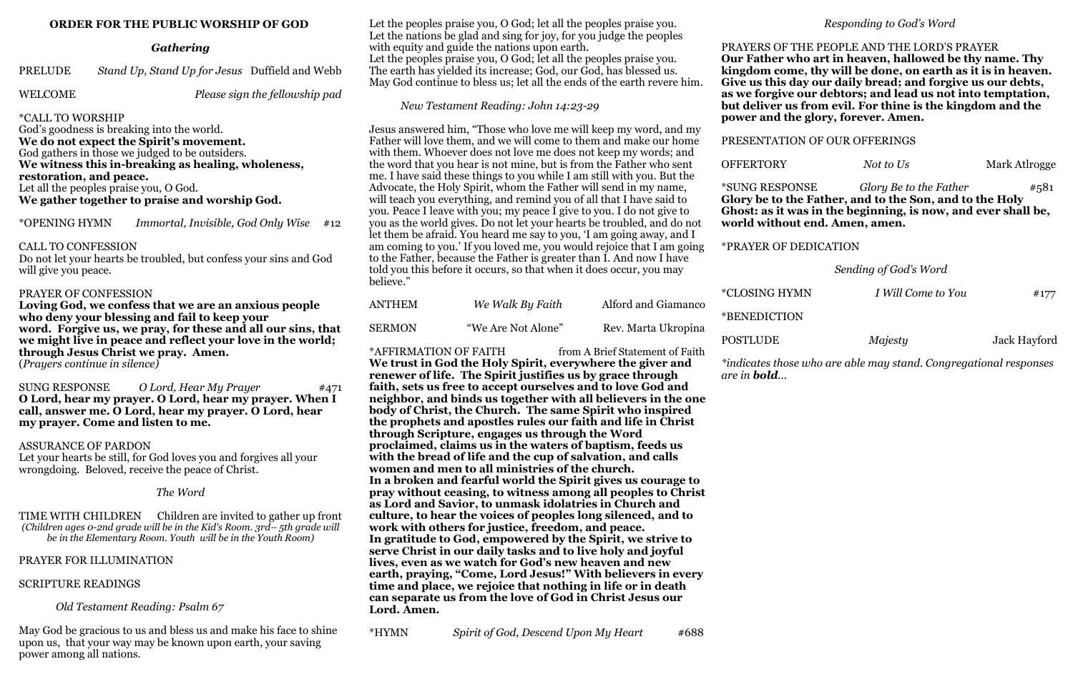## **ORDER FOR THE PUBLIC WORSHIP OF GOD**

# *Gathering*

PRELUDE *Stand Up, Stand Up for Jesus* Duffield and Webb

WELCOME *Please sign the fellowship pad* 

# \*CALL TO WORSHIP

God's goodness is breaking into the world. **We do not expect the Spirit's movement.** God gathers in those we judged to be outsiders. **We witness this in-breaking as healing, wholeness, restoration, and peace.** Let all the peoples praise you, O God. **We gather together to praise and worship God.**

\*OPENING HYMN *Immortal, Invisible, God Only Wise* #12

### CALL TO CONFESSION

Do not let your hearts be troubled, but confess your sins and God will give you peace.

### PRAYER OF CONFESSION

**Loving God, we confess that we are an anxious people who deny your blessing and fail to keep your word. Forgive us, we pray, for these and all our sins, that we might live in peace and reflect your love in the world; through Jesus Christ we pray. Amen.**

(*Prayers continue in silence)*

SUNG RESPONSE *O Lord, Hear My Prayer* #471 **O Lord, hear my prayer. O Lord, hear my prayer. When I call, answer me. O Lord, hear my prayer. O Lord, hear my prayer. Come and listen to me.** 

#### ASSURANCE OF PARDON

Let your hearts be still, for God loves you and forgives all your wrongdoing. Beloved, receive the peace of Christ.

*The Word*

TIME WITH CHILDREN Children are invited to gather up front *(Children ages 0-2nd grade will be in the Kid's Room. 3rd– 5th grade will be in the Elementary Room. Youth will be in the Youth Room)* 

# PRAYER FOR ILLUMINATION

#### SCRIPTURE READINGS

 *Old Testament Reading: Psalm 67*

May God be gracious to us and bless us and make his face to shine upon us, that your way may be known upon earth, your saving power among all nations.

Let the peoples praise you, O God; let all the peoples praise you. Let the nations be glad and sing for joy, for you judge the peoples with equity and guide the nations upon earth. Let the peoples praise you, O God; let all the peoples praise you. The earth has yielded its increase; God, our God, has blessed us. May God continue to bless us; let all the ends of the earth revere him.

*New Testament Reading: John 14:23-29*

Jesus answered him, "Those who love me will keep my word, and my Father will love them, and we will come to them and make our home with them. Whoever does not love me does not keep my words; and the word that you hear is not mine, but is from the Father who sent me. I have said these things to you while I am still with you. But the Advocate, the Holy Spirit, whom the Father will send in my name, will teach you everything, and remind you of all that I have said to you. Peace I leave with you; my peace I give to you. I do not give to you as the world gives. Do not let your hearts be troubled, and do not let them be afraid. You heard me say to you, 'I am going away, and I am coming to you.' If you loved me, you would rejoice that I am going to the Father, because the Father is greater than I. And now I have told you this before it occurs, so that when it does occur, you may believe."

| <b>ANTHEM</b> | We Walk By Faith   | Alford and Giamanco |
|---------------|--------------------|---------------------|
| <b>SERMON</b> | "We Are Not Alone" | Rev. Marta Ukropina |

\*AFFIRMATION OF FAITH from A Brief Statement of Faith

**We trust in God the Holy Spirit, everywhere the giver and renewer of life. The Spirit justifies us by grace through faith, sets us free to accept ourselves and to love God and neighbor, and binds us together with all believers in the one body of Christ, the Church. The same Spirit who inspired the prophets and apostles rules our faith and life in Christ through Scripture, engages us through the Word proclaimed, claims us in the waters of baptism, feeds us with the bread of life and the cup of salvation, and calls women and men to all ministries of the church. In a broken and fearful world the Spirit gives us courage to pray without ceasing, to witness among all peoples to Christ as Lord and Savior, to unmask idolatries in Church and culture, to hear the voices of peoples long silenced, and to work with others for justice, freedom, and peace. In gratitude to God, empowered by the Spirit, we strive to serve Christ in our daily tasks and to live holy and joyful lives, even as we watch for God's new heaven and new earth, praying, "Come, Lord Jesus!" With believers in every time and place, we rejoice that nothing in life or in death can separate us from the love of God in Christ Jesus our Lord. Amen.**

\*HYMN *Spirit of God, Descend Upon My Heart* #688

# *Responding to God's Word*

**OFFERTORY** *Not to Us* Mark Atlrogge

PRAYERS OF THE PEOPLE AND THE LORD'S PRAYER **Our Father who art in heaven, hallowed be thy name. Thy kingdom come, thy will be done, on earth as it is in heaven. Give us this day our daily bread; and forgive us our debts, as we forgive our debtors; and lead us not into temptation, but deliver us from evil. For thine is the kingdom and the power and the glory, forever. Amen.**

PRESENTATION OF OUR OFFERINGS

\*SUNG RESPONSE *Glory Be to the Father* #581 **Glory be to the Father, and to the Son, and to the Holy Ghost: as it was in the beginning, is now, and ever shall be, world without end. Amen, amen.**

\*PRAYER OF DEDICATION

*Sending of God's Word*

| YMN | I Will Come to You | #177 |
|-----|--------------------|------|
|     |                    |      |

\*CLOSING HYMN *I Will Come to You* #177

\*BENEDICTION

POSTLUDE *Majesty* Jack Hayford

*\*indicates those who are able may stand. Congregational responses* 

*are in bold...*